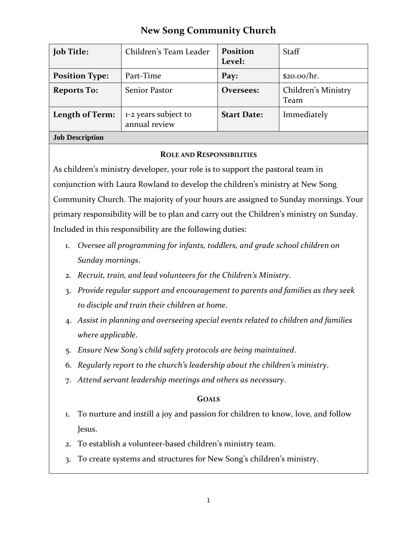# **New Song Community Church**

| <b>Job Title:</b>      | Children's Team Leader                | <b>Position</b><br>Level: | <b>Staff</b>                |
|------------------------|---------------------------------------|---------------------------|-----------------------------|
| <b>Position Type:</b>  | Part-Time                             | Pay:                      | \$20.00/hr.                 |
| <b>Reports To:</b>     | Senior Pastor                         | Oversees:                 | Children's Ministry<br>Team |
| Length of Term:        | 1-2 years subject to<br>annual review | <b>Start Date:</b>        | Immediately                 |
| <b>Job Description</b> |                                       |                           |                             |

#### **ROLE AND RESPONSIBILITIES**

As children's ministry developer, your role is to support the pastoral team in conjunction with Laura Rowland to develop the children's ministry at New Song Community Church. The majority of your hours are assigned to Sunday mornings. Your primary responsibility will be to plan and carry out the Children's ministry on Sunday. Included in this responsibility are the following duties:

- 1. *Oversee all programming for infants, toddlers, and grade school children on Sunday mornings*.
- 2. *Recruit, train, and lead volunteers for the Children's Ministry*.
- 3. *Provide regular support and encouragement to parents and families as they seek to disciple and train their children at home*.
- 4. *Assist in planning and overseeing special events related to children and families where applicable*.
- 5. *Ensure New Song's child safety protocols are being maintained*.
- 6. *Regularly report to the church's leadership about the children's ministry*.
- 7. *Attend servant leadership meetings and others as necessary*.

## **GOALS**

- 1. To nurture and instill a joy and passion for children to know, love, and follow Jesus.
- 2. To establish a volunteer-based children's ministry team.
- 3. To create systems and structures for New Song's children's ministry.